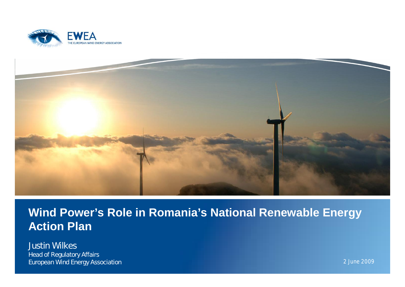



#### **Wind Power's Role in Romania's National Renewable Energy Action Plan**

Justin Wilkes *Head of Regulatory Affairs European Wind Energy Association* 2 June 2009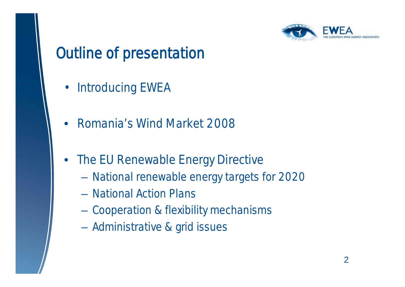

## Outline of presentation

- Introducing EWEA
- Romania's Wind Market 2008
- The EU Renewable Energy Directive
	- National renewable energy targets for 2020
	- National Action Plans
	- Cooperation & flexibility mechanisms
	- Administrative & grid issues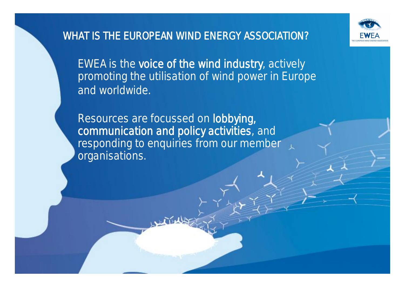

#### WHAT IS THE EUROPEAN WIND ENERGY ASSOCIATION?

EWEA is the voice of the wind industry, actively promoting the utilisation of wind power in Europe and worldwide.

Resources are focussed on lobbying, communication and policy activities, and responding to enquiries from our member organisations.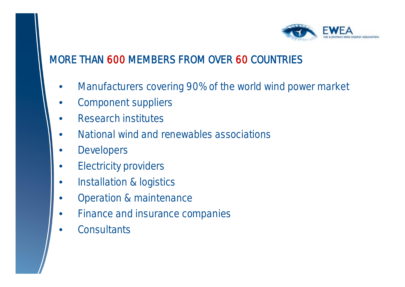

#### MORE THAN 600 MEMBERS FROM OVER 60 COUNTRIES

- Manufacturers covering 90% of the world wind power market
- Component suppliers
- Research institutes
- National wind and renewables associations
- **Developers**
- **Electricity providers**
- Installation & logistics
- Operation & maintenance
- Finance and insurance companies
- **Consultants**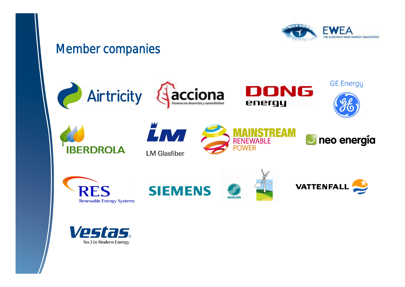

#### Member companies

























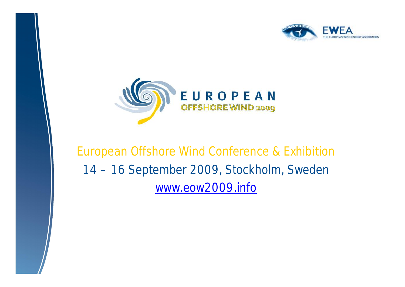



#### European Offshore Wind Conference & Exhibition 14 –16 September 2009, Stockholm, Sweden [www.eow2009.info](http://www.eow2009.info)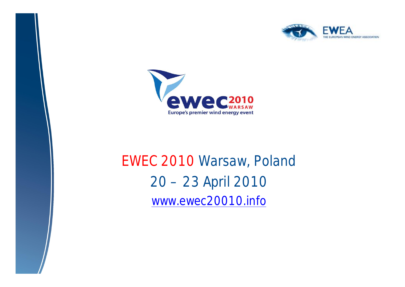



# EWEC 2010 Warsaw, Poland 20 –23 April 2010 [www.ewec20010.info](http://www.ewec20010.info)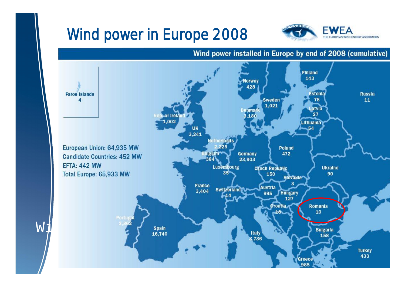# Wind power in Europe 2008



#### Wind power installed in Europe by end of 2008 (cumulative)

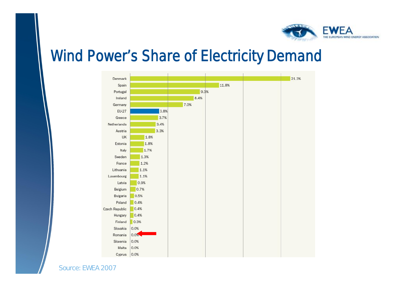

#### Wind Power's Share of Electricity Demand



*Source: EWEA 2007*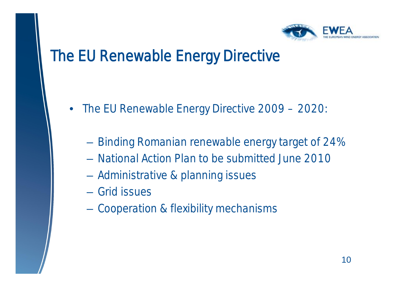

## The EU Renewable Energy Directive

- The EU Renewable Energy Directive 2009 2020:
	- Binding Romanian renewable energy target of 24%
	- National Action Plan to be submitted June 2010
	- Administrative & planning issues
	- Grid issues
	- Cooperation & flexibility mechanisms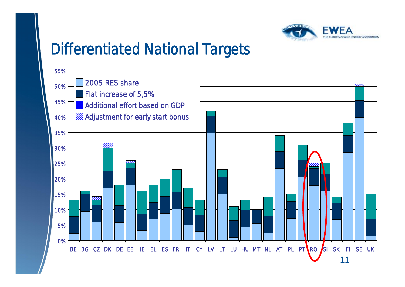

### Differentiated National Targets

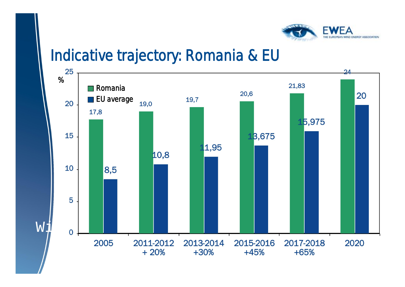

#### Indicative trajectory: Romania & EU

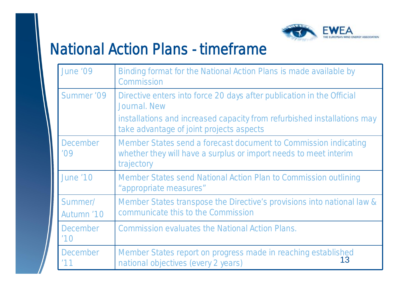

### National Action Plans - timeframe

| June '09               | Binding format for the National Action Plans is made available by<br>Commission                                                                   |
|------------------------|---------------------------------------------------------------------------------------------------------------------------------------------------|
| Summer '09             | Directive enters into force 20 days after publication in the Official<br>Journal, New                                                             |
|                        | installations and increased capacity from refurbished installations may<br>take advantage of joint projects aspects                               |
| December<br>'09        | Member States send a forecast document to Commission indicating<br>whether they will have a surplus or import needs to meet interim<br>trajectory |
| <b>June '10</b>        | Member States send National Action Plan to Commission outlining<br>"appropriate measures"                                                         |
| Summer/<br>Autumn '10  | Member States transpose the Directive's provisions into national law &<br>communicate this to the Commission                                      |
| <b>December</b><br>110 | Commission evaluates the National Action Plans.                                                                                                   |
| December<br>'11        | Member States report on progress made in reaching established<br>13<br>national objectives (every 2 years)                                        |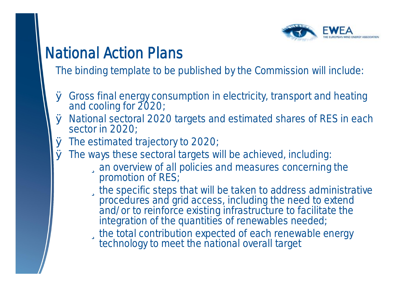

## National Action Plans

The binding template to be published by the Commission will include:

- Ø Gross final energy consumption in electricity, transport and heating and cooling for 2020;
- Ø National sectoral 2020 targets and estimated shares of RES in each sector in 2020;
- Ø The estimated trajectory to 2020;
- Ø The ways these sectoral targets will be achieved, including: üan overview of all policies and measures concerning the
	- promotion of RES;
		- üthe specific steps that will be taken to address administrative procedures and grid access, including the need to extend and/or to reinforce existing infrastructure to facilitate the integration of the quantities of renewables needed;
		- üthe total contribution expected of each renewable energy technology to meet the national overall target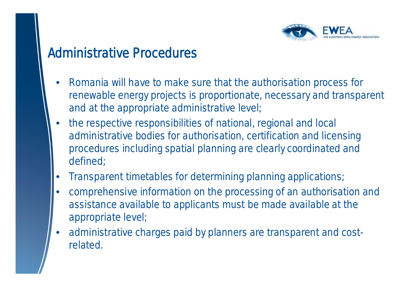

#### Administrative Procedures

- Romania will have to make sure that the authorisation process for renewable energy projects is proportionate, necessary and transparent and at the appropriate administrative level;
- the respective responsibilities of national, regional and local administrative bodies for authorisation, certification and licensing procedures including spatial planning are clearly coordinated and defined;
- Transparent timetables for determining planning applications;
- comprehensive information on the processing of an authorisation and assistance available to applicants must be made available at the appropriate level;
- administrative charges paid by planners are transparent and costrelated.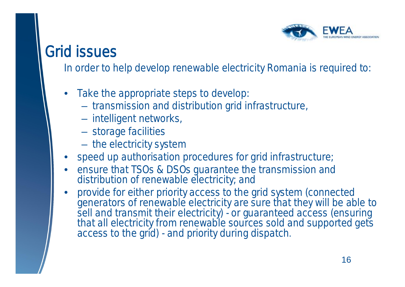

### Grid issues

In order to help develop renewable electricity Romania is required to:

- Take the appropriate steps to develop:
	- transmission and distribution grid infrastructure,
	- intelligent networks,
	- storage facilities
	- the electricity system
- speed up authorisation procedures for grid infrastructure;
- ensure that TSOs & DSOs guarantee the transmission and distribution of renewable electricity; and
- provide for either priority access to the grid system (connected generators of renewable electricity are sure that they will be able to sell and transmit their electricity) - or guaranteed access (ensuring that all electricity from renewable sources sold and supported gets access to the grid) - and priority during dispatch.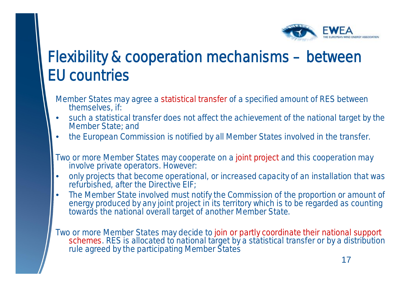

# Flexibility & cooperation mechanisms – between EU countries

- Member States may agree a statistical transfer of a specified amount of RES between themselves, if:
- such a statistical transfer does not affect the achievement of the national target by the Member State; and
- the European Commission is notified by all Member States involved in the transfer.
- Two or more Member States may cooperate on a joint project and this cooperation may involve private operators. However:
- only projects that become operational, or increased capacity of an installation that was refurbished, after the Directive EIF;
- The Member State involved must notify the Commission of the proportion or amount of energy produced by any joint project in its territory which is to be regarded as counting towards the national overall target of another Member State.

Two or more Member States may decide to join or partly coordinate their national support schemes. RES is allocated to national target by a statistical transfer or by a distribution rule agreed by the participating Member States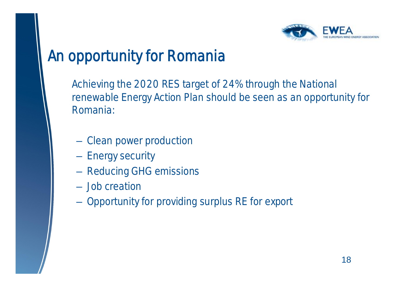

### An opportunity for Romania

Achieving the 2020 RES target of 24% through the National renewable Energy Action Plan should be seen as an opportunity for Romania:

- Clean power production
- Energy security
- Reducing GHG emissions
- Job creation
- Opportunity for providing surplus RE for export